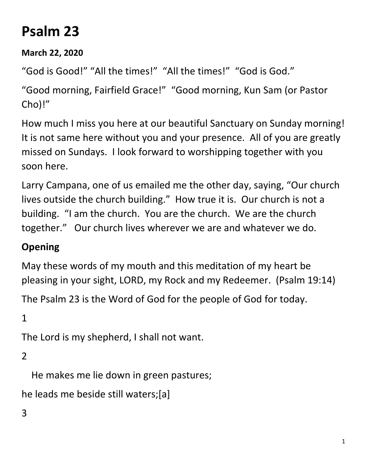# **Psalm 23**

### **March 22, 2020**

"God is Good!" "All the times!" "All the times!" "God is God."

"Good morning, Fairfield Grace!" "Good morning, Kun Sam (or Pastor Cho)!"

How much I miss you here at our beautiful Sanctuary on Sunday morning! It is not same here without you and your presence. All of you are greatly missed on Sundays. I look forward to worshipping together with you soon here.

Larry Campana, one of us emailed me the other day, saying, "Our church lives outside the church building." How true it is. Our church is not a building. "I am the church. You are the church. We are the church together." Our church lives wherever we are and whatever we do.

# **Opening**

May these words of my mouth and this meditation of my heart be pleasing in your sight, LORD, my Rock and my Redeemer. (Psalm 19:14)

The Psalm 23 is the Word of God for the people of God for today.

1

The Lord is my shepherd, I shall not want.

## 2

He makes me lie down in green pastures;

he leads me beside still waters;[a]

## 3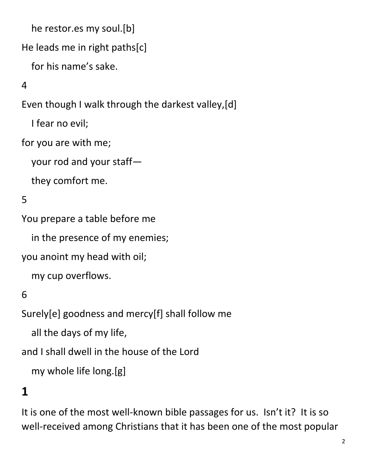he restor.es my soul.[b]

He leads me in right paths[c]

for his name's sake.

# 4

Even though I walk through the darkest valley,[d]

I fear no evil;

for you are with me;

your rod and your staff—

they comfort me.

## 5

You prepare a table before me

in the presence of my enemies;

you anoint my head with oil;

my cup overflows.

#### 6

Surely[e] goodness and mercy[f] shall follow me

all the days of my life,

and I shall dwell in the house of the Lord

my whole life long.[g]

## **1**

It is one of the most well-known bible passages for us. Isn't it? It is so well-received among Christians that it has been one of the most popular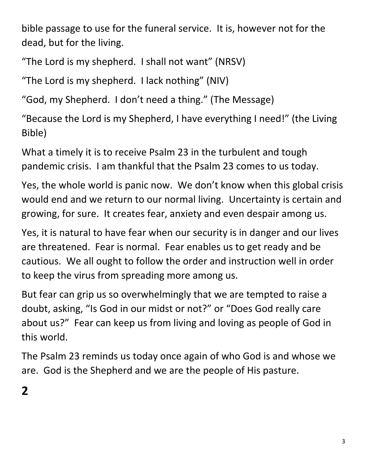bible passage to use for the funeral service. It is, however not for the dead, but for the living.

"The Lord is my shepherd. I shall not want" (NRSV)

"The Lord is my shepherd. I lack nothing" (NIV)

"God, my Shepherd. I don't need a thing." (The Message)

"Because the Lord is my Shepherd, I have everything I need!" (the Living Bible)

What a timely it is to receive Psalm 23 in the turbulent and tough pandemic crisis. I am thankful that the Psalm 23 comes to us today.

Yes, the whole world is panic now. We don't know when this global crisis would end and we return to our normal living. Uncertainty is certain and growing, for sure. It creates fear, anxiety and even despair among us.

Yes, it is natural to have fear when our security is in danger and our lives are threatened. Fear is normal. Fear enables us to get ready and be cautious. We all ought to follow the order and instruction well in order to keep the virus from spreading more among us.

But fear can grip us so overwhelmingly that we are tempted to raise a doubt, asking, "Is God in our midst or not?" or "Does God really care about us?" Fear can keep us from living and loving as people of God in this world.

The Psalm 23 reminds us today once again of who God is and whose we are. God is the Shepherd and we are the people of His pasture.

**2**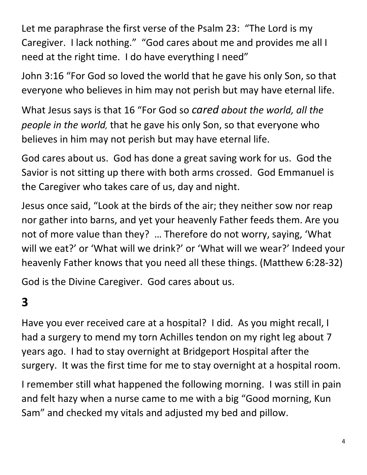Let me paraphrase the first verse of the Psalm 23: "The Lord is my Caregiver. I lack nothing." "God cares about me and provides me all I need at the right time. I do have everything I need"

John 3:16 "For God so loved the world that he gave his only Son, so that everyone who believes in him may not perish but may have eternal life.

What Jesus says is that 16 "For God so *cared about the world, all the people in the world,* that he gave his only Son, so that everyone who believes in him may not perish but may have eternal life.

God cares about us. God has done a great saving work for us. God the Savior is not sitting up there with both arms crossed. God Emmanuel is the Caregiver who takes care of us, day and night.

Jesus once said, "Look at the birds of the air; they neither sow nor reap nor gather into barns, and yet your heavenly Father feeds them. Are you not of more value than they? … Therefore do not worry, saying, 'What will we eat?' or 'What will we drink?' or 'What will we wear?' Indeed your heavenly Father knows that you need all these things. (Matthew 6:28-32)

God is the Divine Caregiver. God cares about us.

# **3**

Have you ever received care at a hospital? I did. As you might recall, I had a surgery to mend my torn Achilles tendon on my right leg about 7 years ago. I had to stay overnight at Bridgeport Hospital after the surgery. It was the first time for me to stay overnight at a hospital room.

I remember still what happened the following morning. I was still in pain and felt hazy when a nurse came to me with a big "Good morning, Kun Sam" and checked my vitals and adjusted my bed and pillow.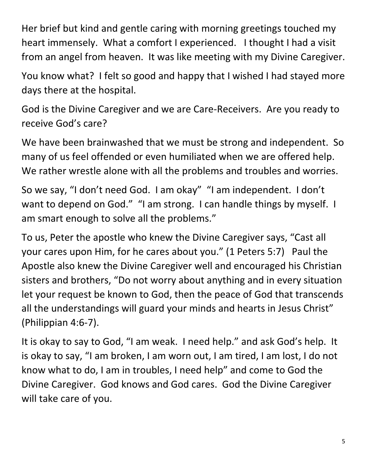Her brief but kind and gentle caring with morning greetings touched my heart immensely. What a comfort I experienced. I thought I had a visit from an angel from heaven. It was like meeting with my Divine Caregiver.

You know what? I felt so good and happy that I wished I had stayed more days there at the hospital.

God is the Divine Caregiver and we are Care-Receivers. Are you ready to receive God's care?

We have been brainwashed that we must be strong and independent. So many of us feel offended or even humiliated when we are offered help. We rather wrestle alone with all the problems and troubles and worries.

So we say, "I don't need God. I am okay" "I am independent. I don't want to depend on God." "I am strong. I can handle things by myself. I am smart enough to solve all the problems."

To us, Peter the apostle who knew the Divine Caregiver says, "Cast all your cares upon Him, for he cares about you." (1 Peters 5:7) Paul the Apostle also knew the Divine Caregiver well and encouraged his Christian sisters and brothers, "Do not worry about anything and in every situation let your request be known to God, then the peace of God that transcends all the understandings will guard your minds and hearts in Jesus Christ" (Philippian 4:6-7).

It is okay to say to God, "I am weak. I need help." and ask God's help. It is okay to say, "I am broken, I am worn out, I am tired, I am lost, I do not know what to do, I am in troubles, I need help" and come to God the Divine Caregiver. God knows and God cares. God the Divine Caregiver will take care of you.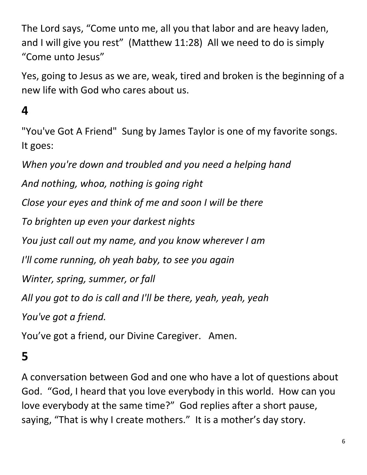The Lord says, "Come unto me, all you that labor and are heavy laden, and I will give you rest" (Matthew 11:28) All we need to do is simply "Come unto Jesus"

Yes, going to Jesus as we are, weak, tired and broken is the beginning of a new life with God who cares about us.

# **4**

"You've Got A Friend" Sung by James Taylor is one of my favorite songs. It goes:

*When you're down and troubled and you need a helping hand And nothing, whoa, nothing is going right Close your eyes and think of me and soon I will be there To brighten up even your darkest nights You just call out my name, and you know wherever I am I'll come running, oh yeah baby, to see you again Winter, spring, summer, or fall All you got to do is call and I'll be there, yeah, yeah, yeah You've got a friend.* You've got a friend, our Divine Caregiver. Amen.

# **5**

A conversation between God and one who have a lot of questions about God. "God, I heard that you love everybody in this world. How can you love everybody at the same time?" God replies after a short pause, saying, "That is why I create mothers." It is a mother's day story.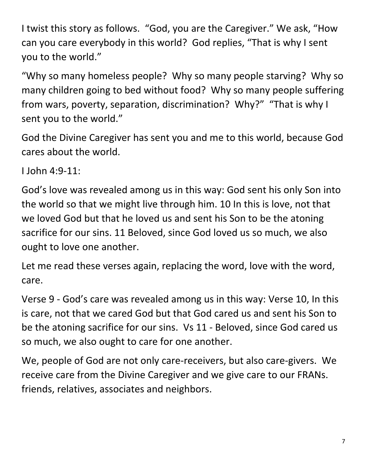I twist this story as follows. "God, you are the Caregiver." We ask, "How can you care everybody in this world? God replies, "That is why I sent you to the world."

"Why so many homeless people? Why so many people starving? Why so many children going to bed without food? Why so many people suffering from wars, poverty, separation, discrimination? Why?" "That is why I sent you to the world."

God the Divine Caregiver has sent you and me to this world, because God cares about the world.

I John 4:9-11:

God's love was revealed among us in this way: God sent his only Son into the world so that we might live through him. 10 In this is love, not that we loved God but that he loved us and sent his Son to be the atoning sacrifice for our sins. 11 Beloved, since God loved us so much, we also ought to love one another.

Let me read these verses again, replacing the word, love with the word, care.

Verse 9 - God's care was revealed among us in this way: Verse 10, In this is care, not that we cared God but that God cared us and sent his Son to be the atoning sacrifice for our sins. Vs 11 - Beloved, since God cared us so much, we also ought to care for one another.

We, people of God are not only care-receivers, but also care-givers. We receive care from the Divine Caregiver and we give care to our FRANs. friends, relatives, associates and neighbors.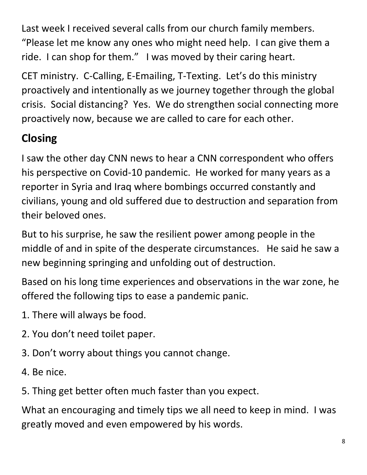Last week I received several calls from our church family members. "Please let me know any ones who might need help. I can give them a ride. I can shop for them." I was moved by their caring heart.

CET ministry. C-Calling, E-Emailing, T-Texting. Let's do this ministry proactively and intentionally as we journey together through the global crisis. Social distancing? Yes. We do strengthen social connecting more proactively now, because we are called to care for each other.

# **Closing**

I saw the other day CNN news to hear a CNN correspondent who offers his perspective on Covid-10 pandemic. He worked for many years as a reporter in Syria and Iraq where bombings occurred constantly and civilians, young and old suffered due to destruction and separation from their beloved ones.

But to his surprise, he saw the resilient power among people in the middle of and in spite of the desperate circumstances. He said he saw a new beginning springing and unfolding out of destruction.

Based on his long time experiences and observations in the war zone, he offered the following tips to ease a pandemic panic.

- 1. There will always be food.
- 2. You don't need toilet paper.
- 3. Don't worry about things you cannot change.
- 4. Be nice.

5. Thing get better often much faster than you expect.

What an encouraging and timely tips we all need to keep in mind. I was greatly moved and even empowered by his words.